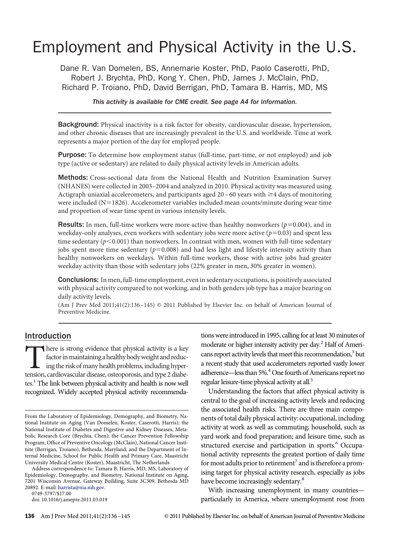# Employment and Physical Activity in the U.S.

Dane R. Van Domelen, BS, Annemarie Koster, PhD, Paolo Caserotti, PhD, Robert J. Brychta, PhD, Kong Y. Chen, PhD, James J. McClain, PhD, Richard P. Troiano, PhD, David Berrigan, PhD, Tamara B. Harris, MD, MS

*This activity is available for CME credit. See page A4 for information.*

**Background:** Physical inactivity is a risk factor for obesity, cardiovascular disease, hypertension, and other chronic diseases that are increasingly prevalent in the U.S. and worldwide. Time at work represents a major portion of the day for employed people.

Purpose: To determine how employment status (full-time, part-time, or not employed) and job type (active or sedentary) are related to daily physical activity levels in American adults.

Methods: Cross-sectional data from the National Health and Nutrition Examination Survey (NHANES) were collected in 2003–2004 and analyzed in 2010. Physical activity was measured using Actigraph uniaxial accelerometers, and participants aged  $20 - 60$  years with  $\geq 4$  days of monitoring were included (N=1826). Accelerometer variables included mean counts/minute during wear time and proportion of wear time spent in various intensity levels.

**Results:** In men, full-time workers were more active than healthy nonworkers  $(p=0.004)$ , and in weekday-only analyses, even workers with sedentary jobs were more active  $(p=0.03)$  and spent less time sedentary ( $p$ <0.001) than nonworkers. In contrast with men, women with full-time sedentary jobs spent more time sedentary ( $p=0.008$ ) and had less light and lifestyle intensity activity than healthy nonworkers on weekdays. Within full-time workers, those with active jobs had greater weekday activity than those with sedentary jobs (22% greater in men, 30% greater in women).

**Conclusions:** In men, full-time employment, even in sedentary occupations, is positively associated with physical activity compared to not working, and in both genders job type has a major bearing on daily activity levels.

(Am J Prev Med 2011;41(2):136 –145) © 2011 Published by Elsevier Inc. on behalf of American Journal of Preventive Medicine.

## Introduction

There is strong evidence that physical activity is a key<br>factor in maintaining a healthy body weight and reduc-<br>ing the risk of many health problems, including hyper-<br>tension, cardiovascular disease, osteoporosis, and type factor in maintaining a healthy body weight and reducing the risk of many health problems, including hypertension, cardiovascular disease, osteoporosis, and type 2 diabetes.<sup>1</sup> The link between physical activity and health is now well recognized. Widely accepted physical activity recommenda-

Address correspondence to: Tamara B. Harris, MD, MS, Laboratory of Epidemiology, Demography, and Biometry, National Institute on Aging, 7201 Wisconsin Avenue, Gateway Building, Suite 3C309, Bethesda MD 20892. E-mail: [harrista@nia.nih.gov.](mailto:harrista@nia.nih.gov)

0749-3797/\$17.00

doi: 10.1016/j.amepre.2011.03.019

tions were introduced in 1995, calling for at least 30 minutes of moderate or higher intensity activity per day.<sup>2</sup> Half of Americans report activity levels that meet this recommendation,<sup>3</sup> but a recent study that used accelerometers reported vastly lower adherence—less than 5%.<sup>4</sup> One fourth of Americans report no regular leisure-time physical activity at all.<sup>5</sup>

Understanding the factors that affect physical activity is central to the goal of increasing activity levels and reducing the associated health risks. There are three main components of total daily physical activity: occupational, including activity at work as well as commuting; household, such as yard work and food preparation; and leisure time, such as structured exercise and participation in sports.<sup>6</sup> Occupational activity represents the greatest portion of daily time for most adults prior to retirement<sup>7</sup> and is therefore a promising target for physical activity research, especially as jobs have become increasingly sedentary.<sup>8</sup>

With increasing unemployment in many countries particularly in America, where unemployment rose from

From the Laboratory of Epidemiology, Demography, and Biometry, National Institute on Aging (Van Domelen, Koster, Caserotti, Harris); the National Institute of Diabetes and Digestive and Kidney Diseases, Metabolic Research Core (Brychta, Chen); the Cancer Prevention Fellowship Program, Offıce of Preventive Oncology (McClain), National Cancer Institute (Berrigan, Troiano), Bethesda, Maryland; and the Department of Internal Medicine, School for Public Health and Primary Care, Maastricht University Medical Centre (Koster), Maastricht, The Netherlands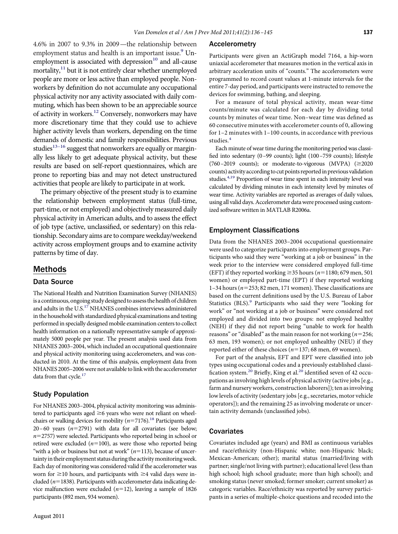4.6% in 2007 to 9.3% in 2009—the relationship between employment status and health is an important issue.<sup>9</sup> Unemployment is associated with depression $10$  and all-cause mortality,<sup>11</sup> but it is not entirely clear whether unemployed people are more or less active than employed people. Nonworkers by defınition do not accumulate any occupational physical activity nor any activity associated with daily commuting, which has been shown to be an appreciable source of activity in workers.<sup>12</sup> Conversely, nonworkers may have more discretionary time that they could use to achieve higher activity levels than workers, depending on the time demands of domestic and family responsibilities. Previous studies $13-16$  suggest that nonworkers are equally or marginally less likely to get adequate physical activity, but these results are based on self-report questionnaires, which are prone to reporting bias and may not detect unstructured activities that people are likely to participate in at work.

The primary objective of the present study is to examine the relationship between employment status (full-time, part-time, or not employed) and objectively measured daily physical activity in American adults, and to assess the effect of job type (active, unclassifıed, or sedentary) on this relationship. Secondary aims are to compare weekday/weekend activity across employment groups and to examine activity patterns by time of day.

### Methods

#### Data Source

The National Health and Nutrition Examination Survey (NHANES) is a continuous, ongoing study designed to assess the health of children and adults in the  $\rm \bar{U}.S.^{17}$  NHANES combines interviews administered in the household with standardized physical examinations and testing performed in specially designed mobile examination centers to collect health information on a nationally representative sample of approximately 5000 people per year. The present analysis used data from NHANES 2003–2004, which included an occupational questionnaire and physical activity monitoring using accelerometers, and was conducted in 2010. At the time of this analysis, employment data from NHANES 2005-2006 were not available to link with the accelerometer data from that cycle.<sup>17</sup>

#### Study Population

For NHANES 2003–2004, physical activity monitoring was administered to participants aged  $\geq$ 6 years who were not reliant on wheelchairs or walking devices for mobility  $(n=7176)$ .<sup>18</sup> Participants aged  $20-60$  years  $(n=2791)$  with data for all covariates (see below;  $n=2757$ ) were selected. Participants who reported being in school or retired were excluded  $(n=100)$ , as were those who reported being "with a job or business but not at work"  $(n=113)$ , because of uncertainty in their employment status during the activity monitoring week. Each day of monitoring was considered valid if the accelerometer was worn for  $\geq$ 10 hours, and participants with  $\geq$ 4 valid days were included ( $n=1838$ ). Participants with accelerometer data indicating device malfunction were excluded  $(n=12)$ , leaving a sample of 1826 participants (892 men, 934 women).

Participants were given an ActiGraph model 7164, a hip-worn uniaxial accelerometer that measures motion in the vertical axis in arbitrary acceleration units of "counts." The accelerometers were programmed to record count values at 1-minute intervals for the entire 7-day period, and participants were instructed to remove the devices for swimming, bathing, and sleeping.

For a measure of total physical activity, mean wear-time counts/minute was calculated for each day by dividing total counts by minutes of wear time. Non–wear time was defıned as 60 consecutive minutes with accelerometer counts of 0, allowing for 1–2 minutes with 1–100 counts, in accordance with previous studies.[4](#page-8-3)

Each minute of wear time during the monitoring period was classifıed into sedentary (0–99 counts); light (100–759 counts); lifestyle (760–2019 counts); or moderate-to-vigorous (MVPA)  $(\geq 2020$ counts) activity according to cut points reportedin previous validation studies.<sup>4,19</sup> Proportion of wear time spent in each intensity level was calculated by dividing minutes in each intensity level by minutes of wear time. Activity variables are reported as averages of daily values, using all valid days. Accelerometer data were processed using customized software written in MATLAB R2006a.

#### Employment Classifications

Data from the NHANES 2003–2004 occupational questionnaire were used to categorize participants into employment groups. Participants who said they were "working at a job or business" in the week prior to the interview were considered employed full-time (EFT) if they reported working  $\geq$ 35 hours ( $n=1180$ ; 679 men, 501 women) or employed part-time (EPT) if they reported working 1–34 hours ( $n=253$ ; 82 men, 171 women). These classifications are based on the current defınitions used by the U.S. Bureau of Labor Statistics (BLS).<sup>9</sup> Participants who said they were "looking for work" or "not working at a job or business" were considered not employed and divided into two groups: not employed healthy (NEH) if they did not report being "unable to work for health reasons" or "disabled" as the main reason for not working  $(n=256;$ 63 men, 193 women); or not employed unhealthy (NEU) if they reported either of these choices ( $n=137$ ; 68 men, 69 women).

For part of the analysis, EFT and EPT were classifıed into job types using occupational codes and a previously established classification system.<sup>20</sup> Briefly, King et al.<sup>20</sup> identified seven of 42 occupations as involving high levels of physical activity (active jobs [e.g., farm and nursery workers, construction laborers]); ten as involving low levels of activity (sedentary jobs [e.g., secretaries, motor vehicle operators]); and the remaining 25 as involving moderate or uncertain activity demands (unclassifıed jobs).

#### **Covariates**

Covariates included age (years) and BMI as continuous variables and race/ethnicity (non-Hispanic white; non-Hispanic black; Mexican-American; other); marital status (married/living with partner; single/not living with partner); educational level (less than high school; high school graduate; more than high school); and smoking status (never smoked; former smoker; current smoker) as categoric variables. Race/ethnicity was reported by survey participants in a series of multiple-choice questions and recoded into the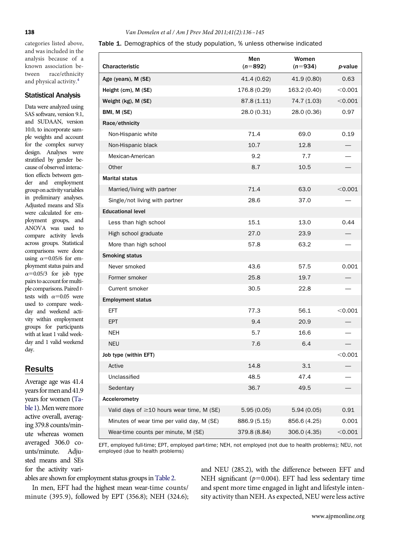categories listed above, and was included in the analysis because of a known association between race/ethnicity and physical activity.<sup>4</sup>

#### Statistical Analysis

Data were analyzed using SAS software, version 9.1, and SUDAAN, version 10.0, to incorporate sample weights and account for the complex survey design. Analyses were stratifıed by gender because of observed interaction effects between gender and employment group on activity variables in preliminary analyses. Adjusted means and SEs were calculated for employment groups, and ANOVA was used to compare activity levels across groups. Statistical comparisons were done using  $\alpha$ =0.05/6 for employment status pairs and  $\alpha$ =0.05/3 for job type pairs to account for multiple comparisons. Paired*t*tests with  $\alpha$ =0.05 were used to compare weekday and weekend activity within employment groups for participants with at least 1 valid weekday and 1 valid weekend day.

# Results

Average age was 41.4 years for men and 41.9 years for women [\(Ta](#page-2-0)[ble1\)](#page-2-0).Menweremore active overall, averaging 379.8 counts/minute whereas women averaged 306.0 counts/minute. Adjusted means and SEs for the activity vari-

#### **138** *Van Domelen et al / Am J Prev Med 2011;41(2):136 –145*

<span id="page-2-0"></span>Table 1. Demographics of the study population, % unless otherwise indicated

| Characteristic                                  | Men<br>$(n=892)$ | Women<br>$(n=934)$ | p-value        |
|-------------------------------------------------|------------------|--------------------|----------------|
| Age (years), M (SE)                             | 41.4 (0.62)      | 41.9 (0.80)        | 0.63           |
| Height (cm), M (SE)                             | 176.8 (0.29)     | 163.2 (0.40)       | < 0.001        |
| Weight (kg), M (SE)                             | 87.8(1.11)       | 74.7 (1.03)        | $<$ 0.001 $\,$ |
| BMI, M (SE)                                     | 28.0 (0.31)      | 28.0 (0.36)        | 0.97           |
| Race/ethnicity                                  |                  |                    |                |
| Non-Hispanic white                              | 71.4             | 69.0               | 0.19           |
| Non-Hispanic black                              | 10.7             | 12.8               |                |
| Mexican-American                                | 9.2              | 7.7                |                |
| Other                                           | 8.7              | 10.5               |                |
| <b>Marital status</b>                           |                  |                    |                |
| Married/living with partner                     | 71.4             | 63.0               | < 0.001        |
| Single/not living with partner                  | 28.6             | 37.0               |                |
| <b>Educational level</b>                        |                  |                    |                |
| Less than high school                           | 15.1             | 13.0               | 0.44           |
| High school graduate                            | 27.0             | 23.9               |                |
| More than high school                           | 57.8             | 63.2               |                |
| <b>Smoking status</b>                           |                  |                    |                |
| Never smoked                                    | 43.6             | 57.5               | 0.001          |
| Former smoker                                   | 25.8             | 19.7               |                |
| Current smoker                                  | 30.5             | 22.8               |                |
| <b>Employment status</b>                        |                  |                    |                |
| EFT                                             | 77.3             | 56.1               | < 0.001        |
| <b>EPT</b>                                      | 9.4              | 20.9               |                |
| <b>NEH</b>                                      | 5.7              | 16.6               |                |
| <b>NEU</b>                                      | 7.6              | 6.4                |                |
| Job type (within EFT)                           |                  |                    | < 0.001        |
| Active                                          | 14.8             | 3.1                |                |
| Unclassified                                    | 48.5             | 47.4               |                |
| Sedentary                                       | 36.7             | 49.5               |                |
| Accelerometry                                   |                  |                    |                |
| Valid days of $\geq$ 10 hours wear time, M (SE) | 5.95(0.05)       | 5.94(0.05)         | 0.91           |
| Minutes of wear time per valid day, M (SE)      | 886.9 (5.15)     | 856.6 (4.25)       | 0.001          |
| Wear-time counts per minute, M (SE)             | 379.8 (8.84)     | 306.0 (4.35)       | < 0.001        |

EFT, employed full-time; EPT, employed part-time; NEH, not employed (not due to health problems); NEU, not employed (due to health problems)

ables are shown for employment status groups in [Table 2.](#page-3-0)

In men, EFT had the highest mean wear-time counts/ minute (395.9), followed by EPT (356.8); NEH (324.6); and NEU (285.2), with the difference between EFT and NEH significant  $(p=0.004)$ . EFT had less sedentary time and spent more time engaged in light and lifestyle intensity activity than NEH. As expected, NEU were less active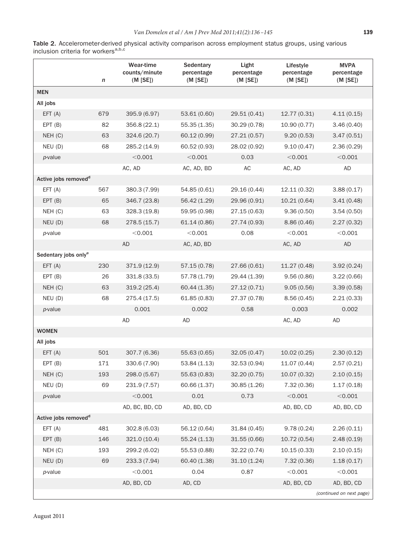<span id="page-3-0"></span>Table 2. Accelerometer-derived physical activity comparison across employment status groups, using various inclusion criteria for workers<sup>a,b,c</sup>

|                                  | $\boldsymbol{n}$ | <b>Wear-time</b><br>counts/minute<br>(M [SE]) | Sedentary<br>percentage<br>(M [SE]) | Light<br>percentage<br>(M [SE]) | Lifestyle<br>percentage<br>(M [SE]) | <b>MVPA</b><br>percentage<br>(M [SE]) |
|----------------------------------|------------------|-----------------------------------------------|-------------------------------------|---------------------------------|-------------------------------------|---------------------------------------|
| <b>MEN</b>                       |                  |                                               |                                     |                                 |                                     |                                       |
| All jobs                         |                  |                                               |                                     |                                 |                                     |                                       |
| EFT(A)                           | 679              | 395.9 (6.97)                                  | 53.61 (0.60)                        | 29.51 (0.41)                    | 12.77 (0.31)                        | 4.11(0.15)                            |
| EPT(B)                           | 82               | 356.8 (22.1)                                  | 55.35 (1.35)                        | 30.29(0.78)                     | 10.90 (0.77)                        | 3.46(0.40)                            |
| NEH (C)                          | 63               | 324.6 (20.7)                                  | 60.12 (0.99)                        | 27.21(0.57)                     | 9.20(0.53)                          | 3.47(0.51)                            |
| NEU (D)                          | 68               | 285.2 (14.9)                                  | 60.52 (0.93)                        | 28.02 (0.92)                    | 9.10(0.47)                          | 2.36(0.29)                            |
| p-value                          |                  | < 0.001                                       | < 0.001                             | 0.03                            | < 0.001                             | < 0.001                               |
|                                  |                  | AC, AD                                        | AC, AD, BD                          | AC                              | AC, AD                              | AD                                    |
| Active jobs removed <sup>d</sup> |                  |                                               |                                     |                                 |                                     |                                       |
| EFT(A)                           | 567              | 380.3 (7.99)                                  | 54.85 (0.61)                        | 29.16 (0.44)                    | 12.11 (0.32)                        | 3.88(0.17)                            |
| EPT(B)                           | 65               | 346.7 (23.8)                                  | 56.42 (1.29)                        | 29.96 (0.91)                    | 10.21 (0.64)                        | 3.41(0.48)                            |
| NEH (C)                          | 63               | 328.3 (19.8)                                  | 59.95 (0.98)                        | 27.15 (0.63)                    | 9.36(0.50)                          | 3.54(0.50)                            |
| NEU (D)                          | 68               | 278.5(15.7)                                   | 61.14(0.86)                         | 27.74 (0.93)                    | 8.86(0.46)                          | 2.27(0.32)                            |
| p-value                          |                  | < 0.001                                       | < 0.001                             | 0.08                            | < 0.001                             | < 0.001                               |
|                                  |                  | <b>AD</b>                                     | AC, AD, BD                          |                                 | AC, AD                              | <b>AD</b>                             |
| Sedentary jobs only <sup>e</sup> |                  |                                               |                                     |                                 |                                     |                                       |
| EFT(A)                           | 230              | 371.9 (12.9)                                  | 57.15 (0.78)                        | 27.66 (0.61)                    | 11.27 (0.48)                        | 3.92(0.24)                            |
| EPT(B)                           | 26               | 331.8 (33.5)                                  | 57.78 (1.79)                        | 29.44 (1.39)                    | 9.56(0.86)                          | 3.22(0.66)                            |
| NEH (C)                          | 63               | 319.2(25.4)                                   | 60.44 (1.35)                        | 27.12(0.71)                     | 9.05(0.56)                          | 3.39(0.58)                            |
| NEU (D)                          | 68               | 275.4 (17.5)                                  | 61.85(0.83)                         | 27.37 (0.78)                    | 8.56(0.45)                          | 2.21(0.33)                            |
| p-value                          |                  | 0.001                                         | 0.002                               | 0.58                            | 0.003                               | 0.002                                 |
|                                  |                  | AD                                            | AD                                  |                                 | AC, AD                              | <b>AD</b>                             |
| <b>WOMEN</b>                     |                  |                                               |                                     |                                 |                                     |                                       |
| All jobs                         |                  |                                               |                                     |                                 |                                     |                                       |
| EFT(A)                           | 501              | 307.7 (6.36)                                  | 55.63 (0.65)                        | 32.05(0.47)                     | 10.02(0.25)                         | 2.30(0.12)                            |
| EPT(B)                           | 171              | 330.6 (7.90)                                  | 53.84(1.13)                         | 32.53 (0.94)                    | 11.07 (0.44)                        | 2.57(0.21)                            |
| NEH (C)                          | 193              | 298.0 (5.67)                                  | 55.63 (0.83)                        | 32.20 (0.75)                    | 10.07 (0.32)                        | 2.10(0.15)                            |
| NEU (D)                          | 69               | 231.9 (7.57)                                  | 60.66 (1.37)                        | 30.85(1.26)                     | 7.32(0.36)                          | 1.17(0.18)                            |
| $p$ -value                       |                  | < 0.001                                       | 0.01                                | 0.73                            | < 0.001                             | < 0.001                               |
|                                  |                  | AD, BC, BD, CD                                | AD, BD, CD                          |                                 | AD, BD, CD                          | AD, BD, CD                            |
| Active jobs removed <sup>d</sup> |                  |                                               |                                     |                                 |                                     |                                       |
| EFT(A)                           | 481              | 302.8 (6.03)                                  | 56.12 (0.64)                        | 31.84 (0.45)                    | 9.78(0.24)                          | 2.26(0.11)                            |
| EPT(B)                           | 146              | 321.0 (10.4)                                  | 55.24(1.13)                         | 31.55(0.66)                     | 10.72(0.54)                         | 2.48(0.19)                            |
| NEH(C)                           | 193              | 299.2 (6.02)                                  | 55.53 (0.88)                        | 32.22 (0.74)                    | 10.15(0.33)                         | 2.10(0.15)                            |
| NEU (D)                          | 69               | 233.3 (7.94)                                  | 60.40 (1.38)                        | 31.10(1.24)                     | 7.32(0.36)                          | 1.18(0.17)                            |
| p-value                          |                  | < 0.001                                       | 0.04                                | 0.87                            | < 0.001                             | < 0.001                               |
|                                  |                  | AD, BD, CD                                    | AD, CD                              |                                 | AD, BD, CD                          | AD, BD, CD                            |
|                                  |                  |                                               |                                     |                                 |                                     | (continued on next page)              |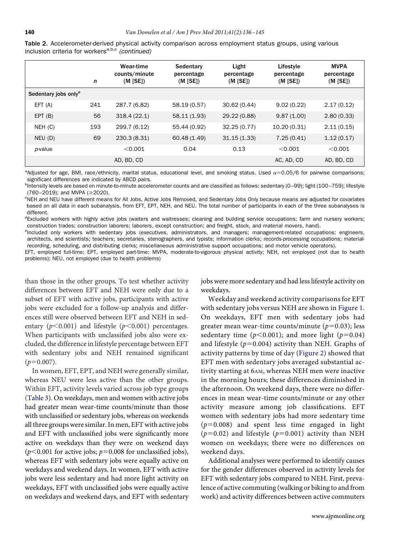|                                  | n   | Wear-time<br>counts/minute<br>(M   SE) | Sedentary<br>percentage<br>(M   SE) | Light<br>percentage<br>$(M$ [SE]) | Lifestyle<br>percentage<br>$(M$ [SE]) | <b>MVPA</b><br>percentage<br>(M   SE) |
|----------------------------------|-----|----------------------------------------|-------------------------------------|-----------------------------------|---------------------------------------|---------------------------------------|
| Sedentary jobs only <sup>e</sup> |     |                                        |                                     |                                   |                                       |                                       |
| EFT(A)                           | 241 | 287.7 (6.82)                           | 58.19 (0.57)                        | 30.62(0.44)                       | 9.02(0.22)                            | 2.17(0.12)                            |
| EPT(B)                           | 56  | 318.4(22.1)                            | 58.11 (1.93)                        | 29.22 (0.88)                      | 9.87(1.00)                            | 2.80(0.33)                            |
| NEH (C)                          | 193 | 299.7 (6.12)                           | 55.44 (0.92)                        | 32.25(0.77)                       | 10.20(0.31)                           | 2.11(0.15)                            |
| NEU(D)                           | 69  | 230.3(8.31)                            | 60.48 (1.49)                        | 31.15(1.33)                       | 7.25(0.41)                            | 1.12(0.17)                            |
| p-value                          |     | < 0.001                                | 0.04                                | 0.13                              | < 0.001                               | < 0.001                               |
|                                  |     | AD, BD, CD                             |                                     |                                   | AC, AD, CD                            | AD, BD, CD                            |

Table 2. Accelerometer-derived physical activity comparison across employment status groups, using various inclusion criteria for workers<sup>a,b,c</sup> (continued)

<sup>a</sup>Adjusted for age, BMI, race/ethnicity, marital status, educational level, and smoking status. Used  $\alpha$ =0.05/6 for pairwise comparisons; significant differences are indicated by ABCD pairs.

<sup>b</sup>Intensity levels are based on minute-to-minute accelerometer counts and are classified as follows: sedentary (0–99); light (100–759); lifestyle  $(760-2019)$ ; and MVPA ( $\geq$ 2020).

<sup>c</sup>NEH and NEU have different means for All Jobs, Active Jobs Removed, and Sedentary Jobs Only because means are adjusted for covariates based on all data in each subanalysis, from EFT, EPT, NEH, and NEU. The total number of participants in each of the three subanalyses is different.

<sup>d</sup>Excluded workers with highly active jobs (waiters and waitresses; cleaning and building service occupations; farm and nursery workers; construction trades; construction laborers; laborers, except construction; and freight, stock, and material movers, hand).

encluded only workers with sedentary jobs (executives, administrators, and managers; management-related occupations; engineers, architects, and scientists; teachers; secretaries, stenographers, and typists; information clerks; records-processing occupations; materialrecording, scheduling, and distributing clerks; miscellaneous administrative support occupations; and motor vehicle operators).

EFT, employed full-time; EPT, employed part-time; MVPA, moderate-to-vigorous physical activity; NEH, not employed (not due to health problems); NEU, not employed (due to health problems)

than those in the other groups. To test whether activity differences between EFT and NEH were only due to a subset of EFT with active jobs, participants with active jobs were excluded for a follow-up analysis and differences still were observed between EFT and NEH in sedentary ( $p$ <0.001) and lifestyle ( $p$ <0.001) percentages. When participants with unclassifıed jobs also were excluded, the difference in lifestyle percentage between EFT with sedentary jobs and NEH remained signifıcant  $(p=0.007)$ .

In women, EFT, EPT, and NEH were generally similar, whereas NEU were less active than the other groups. Within EFT, activity levels varied across job type groups [\(Table 3\)](#page-5-0). On weekdays, men and women with active jobs had greater mean wear-time counts/minute than those with unclassifıed or sedentary jobs, whereas on weekends all three groups were similar. In men, EFT with active jobs and EFT with unclassifıed jobs were signifıcantly more active on weekdays than they were on weekend days ( $p$ <0.001 for active jobs;  $p$ =0.008 for unclassified jobs), whereas EFT with sedentary jobs were equally active on weekdays and weekend days. In women, EFT with active jobs were less sedentary and had more light activity on weekdays, EFT with unclassifıed jobs were equally active on weekdays and weekend days, and EFT with sedentary jobs were more sedentary and had less lifestyle activity on weekdays.

Weekday and weekend activity comparisons for EFT with sedentary jobs versus NEH are shown in [Figure 1.](#page-6-0) On weekdays, EFT men with sedentary jobs had greater mean wear-time counts/minute  $(p=0.03)$ ; less sedentary time ( $p$ <0.001); and more light ( $p$ =0.04) and lifestyle  $(p=0.004)$  activity than NEH. Graphs of activity patterns by time of day [\(Figure 2\)](#page-7-0) showed that EFT men with sedentary jobs averaged substantial activity starting at 6AM, whereas NEH men were inactive in the morning hours; these differences diminished in the afternoon. On weekend days, there were no differences in mean wear-time counts/minute or any other activity measure among job classifıcations. EFT women with sedentary jobs had more sedentary time  $(p=0.008)$  and spent less time engaged in light ( $p=0.02$ ) and lifestyle ( $p=0.001$ ) activity than NEH women on weekdays; there were no differences on weekend days.

Additional analyses were performed to identify causes for the gender differences observed in activity levels for EFT with sedentary jobs compared to NEH. First, prevalence of active commuting (walking or biking to and from work) and activity differences between active commuters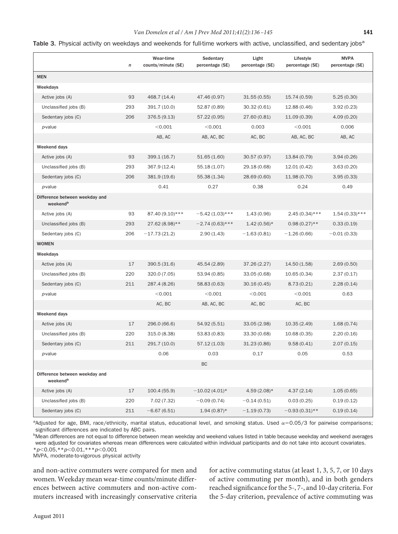#### *Van Domelen et al / Am J Prev Med 2011;41(2):136 –145* **141**

<span id="page-5-0"></span>

|  |  |  |  |  |  |  |  |  | Table 3. Physical activity on weekdays and weekends for full-time workers with active, unclassified, and sedentary jobs <sup>a</sup> |  |
|--|--|--|--|--|--|--|--|--|--------------------------------------------------------------------------------------------------------------------------------------|--|
|--|--|--|--|--|--|--|--|--|--------------------------------------------------------------------------------------------------------------------------------------|--|

|                                                        | $\boldsymbol{n}$ | Wear-time<br>counts/minute (SE) | Sedentary<br>percentage (SE) | Light<br>percentage (SE) | Lifestyle<br>percentage (SE) | <b>MVPA</b><br>percentage (SE) |
|--------------------------------------------------------|------------------|---------------------------------|------------------------------|--------------------------|------------------------------|--------------------------------|
| <b>MEN</b>                                             |                  |                                 |                              |                          |                              |                                |
| Weekdays                                               |                  |                                 |                              |                          |                              |                                |
| Active jobs (A)                                        | 93               | 468.7 (14.4)                    | 47.46 (0.97)                 | 31.55(0.55)              | 15.74 (0.59)                 | 5.25(0.30)                     |
| Unclassified jobs (B)                                  | 293              | 391.7 (10.0)                    | 52.87 (0.89)                 | 30.32 (0.61)             | 12.88 (0.46)                 | 3.92(0.23)                     |
| Sedentary jobs (C)                                     | 206              | 376.5 (9.13)                    | 57.22 (0.95)                 | 27.60 (0.81)             | 11.09(0.39)                  | 4.09(0.20)                     |
| p-value                                                |                  | < 0.001                         | < 0.001                      | 0.003                    | < 0.001                      | 0.006                          |
|                                                        |                  | AB, AC                          | AB, AC, BC                   | AC, BC                   | AB, AC, BC                   | AB, AC                         |
| Weekend days                                           |                  |                                 |                              |                          |                              |                                |
| Active jobs (A)                                        | 93               | 399.1 (16.7)                    | 51.65(1.60)                  | 30.57 (0.97)             | 13.84 (0.79)                 | 3.94(0.26)                     |
| Unclassified jobs (B)                                  | 293              | 367.9 (12.4)                    | 55.18 (1.07)                 | 29.18 (0.68)             | 12.01 (0.42)                 | 3.63(0.20)                     |
| Sedentary jobs (C)                                     | 206              | 381.9 (19.6)                    | 55.38 (1.34)                 | 28.69 (0.60)             | 11.98 (0.70)                 | 3.95(0.33)                     |
| <i>p</i> -value                                        |                  | 0.41                            | 0.27                         | 0.38                     | 0.24                         | 0.49                           |
| Difference between weekday and<br>weekend <sup>b</sup> |                  |                                 |                              |                          |                              |                                |
| Active jobs (A)                                        | 93               | 87.40 (9.10)***                 | $-5.42(1.03)$ ***            | 1.43(0.96)               | $2.45(0.34)$ ***             | $1.54(0.33)$ ***               |
| Unclassified jobs (B)                                  | 293              | 27.62 (8.98)**                  | $-2.74(0.63)$ ***            | $1.42(0.56)$ *           | $0.98(0.27)$ **              | 0.33(0.19)                     |
| Sedentary jobs (C)                                     | 206              | $-17.73(21.2)$                  | 2.90(1.43)                   | $-1.63(0.81)$            | $-1.26(0.66)$                | $-0.01(0.33)$                  |
| <b>WOMEN</b>                                           |                  |                                 |                              |                          |                              |                                |
| Weekdays                                               |                  |                                 |                              |                          |                              |                                |
| Active jobs (A)                                        | 17               | 390.5 (31.6)                    | 45.54 (2.89)                 | 37.26(2.27)              | 14.50 (1.58)                 | 2.69(0.50)                     |
| Unclassified jobs (B)                                  | 220              | 320.0 (7.05)                    | 53.94 (0.85)                 | 33.05 (0.68)             | 10.65(0.34)                  | 2.37(0.17)                     |
| Sedentary jobs (C)                                     | 211              | 287.4 (8.26)                    | 58.83 (0.63)                 | 30.16(0.45)              | 8.73(0.21)                   | 2.28(0.14)                     |
| <i>p</i> -value                                        |                  | < 0.001                         | < 0.001                      | < 0.001                  | < 0.001                      | 0.63                           |
|                                                        |                  | AC, BC                          | AB, AC, BC                   | AC, BC                   | AC, BC                       |                                |
| Weekend days                                           |                  |                                 |                              |                          |                              |                                |
| Active jobs (A)                                        | 17               | 296.0 (66.6)                    | 54.92 (5.51)                 | 33.05(2.98)              | 10.35(2.49)                  | 1.68(0.74)                     |
| Unclassified jobs (B)                                  | 220              | 315.0 (8.38)                    | 53.83 (0.83)                 | 33.30 (0.68)             | 10.68(0.35)                  | 2.20(0.16)                     |
| Sedentary jobs (C)                                     | 211              | 291.7 (10.0)                    | 57.12 (1.03)                 | 31.23 (0.86)             | 9.58(0.41)                   | 2.07(0.15)                     |
| p-value                                                |                  | 0.06                            | 0.03                         | 0.17                     | 0.05                         | 0.53                           |
|                                                        |                  |                                 | BC                           |                          |                              |                                |
| Difference between weekday and<br>weekend <sup>b</sup> |                  |                                 |                              |                          |                              |                                |
| Active jobs (A)                                        | 17               | 100.4(55.9)                     | $-10.02(4.01)*$              | $4.59(2.08)*$            | 4.37(2.14)                   | 1.05(0.65)                     |
| Unclassified jobs (B)                                  | 220              | 7.02(7.32)                      | $-0.09(0.74)$                | $-0.14(0.51)$            | 0.03(0.25)                   | 0.19(0.12)                     |
| Sedentary jobs (C)                                     | 211              | $-6.67(6.51)$                   | $1.94(0.87)$ *               | $-1.19(0.73)$            | $-0.93(0.31)$ **             | 0.19(0.14)                     |

<sup>a</sup>Adjusted for age, BMI, race/ethnicity, marital status, educational level, and smoking status. Used  $\alpha = 0.05/3$  for pairwise comparisons; significant differences are indicated by ABC pairs.

b<br>Mean differences are not equal to difference between mean weekday and weekend values listed in table because weekday and weekend averages were adjusted for covariates whereas mean differences were calculated within individual participants and do not take into account covariates. \**p*-0.05,\*\**p*-0.01,\*\*\**p*-0.001

MVPA, moderate-to-vigorous physical activity

and non-active commuters were compared for men and women. Weekday mean wear-time counts/minute differences between active commuters and non-active commuters increased with increasingly conservative criteria for active commuting status (at least 1, 3, 5, 7, or 10 days of active commuting per month), and in both genders reached signifıcance for the 5-, 7-, and 10-day criteria. For the 5-day criterion, prevalence of active commuting was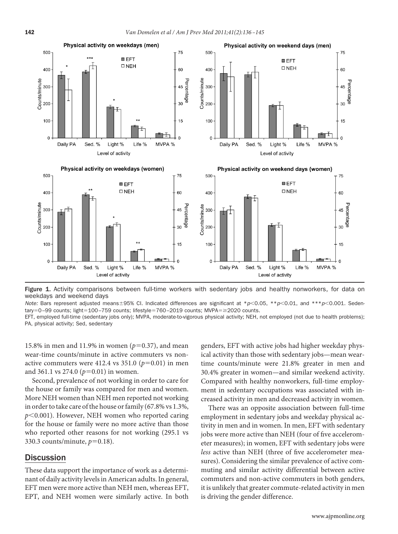

<span id="page-6-0"></span>Figure 1. Activity comparisons between full-time workers with sedentary jobs and healthy nonworkers, for data on weekdays and weekend days

Note: Bars represent adjusted means±95% CI. Indicated differences are significant at \*p<0.05, \*\*p<0.01, and \*\*\*p<0.001. Sedentary=0-99 counts; light=100-759 counts; lifestyle=760-2019 counts; MVPA= $\geq$ 2020 counts.

EFT, employed full-time (sedentary jobs only); MVPA, moderate-to-vigorous physical activity; NEH, not employed (not due to health problems); PA, physical activity; Sed, sedentary

15.8% in men and 11.9% in women ( $p=0.37$ ), and mean wear-time counts/minute in active commuters vs nonactive commuters were  $412.4$  vs  $351.0$  ( $p=0.01$ ) in men and 361.1 vs 274.0 ( $p=0.01$ ) in women.

Second, prevalence of not working in order to care for the house or family was compared for men and women. More NEH women than NEH men reported not working in order to take care of the house or family (67.8% vs 1.3%, *p*-0.001). However, NEH women who reported caring for the house or family were no more active than those who reported other reasons for not working (295.1 vs 330.3 counts/minute,  $p=0.18$ ).

# **Discussion**

These data support the importance of work as a determinant of daily activity levels in American adults. In general, EFT men were more active than NEH men, whereas EFT, EPT, and NEH women were similarly active. In both

genders, EFT with active jobs had higher weekday physical activity than those with sedentary jobs—mean weartime counts/minute were 21.8% greater in men and 30.4% greater in women—and similar weekend activity. Compared with healthy nonworkers, full-time employment in sedentary occupations was associated with increased activity in men and decreased activity in women.

There was an opposite association between full-time employment in sedentary jobs and weekday physical activity in men and in women. In men, EFT with sedentary jobs were more active than NEH (four of fıve accelerometer measures); in women, EFT with sedentary jobs were *less* active than NEH (three of fıve accelerometer measures). Considering the similar prevalence of active commuting and similar activity differential between active commuters and non-active commuters in both genders, it is unlikely that greater commute-related activity in men is driving the gender difference.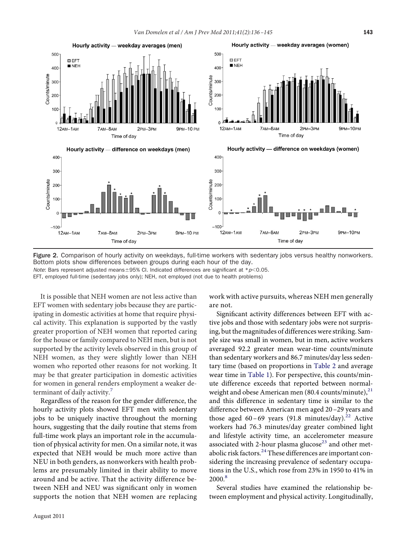

<span id="page-7-0"></span>Figure 2. Comparison of hourly activity on weekdays, full-time workers with sedentary jobs versus healthy nonworkers. Bottom plots show differences between groups during each hour of the day. *Note*: Bars represent adjusted means ± 95% CI. Indicated differences are significant at \*p<0.05.

EFT, employed full-time (sedentary jobs only); NEH, not employed (not due to health problems)

It is possible that NEH women are not less active than EFT women with sedentary jobs because they are participating in domestic activities at home that require physical activity. This explanation is supported by the vastly greater proportion of NEH women that reported caring for the house or family compared to NEH men, but is not supported by the activity levels observed in this group of NEH women, as they were slightly lower than NEH women who reported other reasons for not working. It may be that greater participation in domestic activities for women in general renders employment a weaker de-terminant of daily activity.<sup>[7](#page-8-6)</sup>

Regardless of the reason for the gender difference, the hourly activity plots showed EFT men with sedentary jobs to be uniquely inactive throughout the morning hours, suggesting that the daily routine that stems from full-time work plays an important role in the accumulation of physical activity for men. On a similar note, it was expected that NEH would be much more active than NEU in both genders, as nonworkers with health problems are presumably limited in their ability to move around and be active. That the activity difference between NEH and NEU was significant only in women supports the notion that NEH women are replacing work with active pursuits, whereas NEH men generally are not.

Signifıcant activity differences between EFT with active jobs and those with sedentary jobs were not surprising, but the magnitudes of differences were striking. Sample size was small in women, but in men, active workers averaged 92.2 greater mean wear-time counts/minute than sedentary workers and 86.7 minutes/day less sedentary time (based on proportions in [Table 2](#page-3-0) and average wear time in [Table 1\)](#page-2-0). For perspective, this counts/minute difference exceeds that reported between normalweight and obese American men  $(80.4 \text{ counts/minute})^{21}$ and this difference in sedentary time is similar to the difference between American men aged 20 –29 years and those aged 60-69 years (91.8 minutes/day).<sup>[22](#page-9-0)</sup> Active workers had 76.3 minutes/day greater combined light and lifestyle activity time, an accelerometer measure associated with 2-hour plasma glucose<sup>[23](#page-9-1)</sup> and other met-abolic risk factors.<sup>[24](#page-9-2)</sup> These differences are important considering the increasing prevalence of sedentary occupations in the U.S., which rose from 23% in 1950 to 41% in 2000<sup>[8](#page-8-7)</sup>

Several studies have examined the relationship between employment and physical activity. Longitudinally,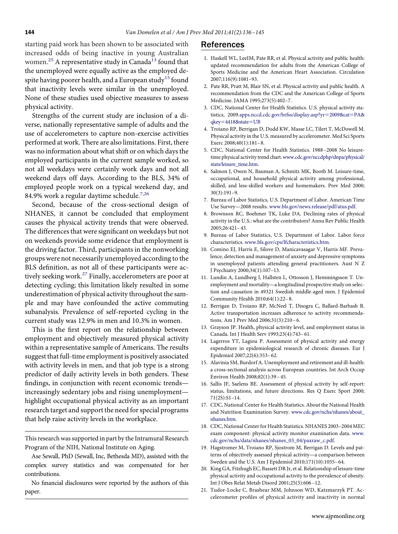starting paid work has been shown to be associated with increased odds of being inactive in young Australian women.<sup>[25](#page-9-3)</sup> A representative study in Canada<sup>[13](#page-8-12)</sup> found that the unemployed were equally active as the employed de-spite having poorer health, and a European study<sup>[15](#page-8-17)</sup> found that inactivity levels were similar in the unemployed. None of these studies used objective measures to assess physical activity.

Strengths of the current study are inclusion of a diverse, nationally representative sample of adults and the use of accelerometers to capture non-exercise activities performed at work. There are also limitations. First, there was no information about what shift or on which days the employed participants in the current sample worked, so not all weekdays were certainly work days and not all weekend days off days. According to the BLS, 34% of employed people work on a typical weekend day, and 84.9% work a regular daytime schedule.<sup>[7,26](#page-8-6)</sup>

Second, because of the cross-sectional design of NHANES, it cannot be concluded that employment causes the physical activity trends that were observed. The differences that were signifıcant on weekdays but not on weekends provide some evidence that employment is the driving factor. Third, participants in the nonworking groups were not necessarily unemployed according to the BLS defınition, as not all of these participants were actively seeking work.<sup>27</sup> Finally, accelerometers are poor at detecting cycling; this limitation likely resulted in some underestimation of physical activity throughout the sample and may have confounded the active commuting subanalysis. Prevalence of self-reported cycling in the current study was 12.9% in men and 10.3% in women.

This is the fırst report on the relationship between employment and objectively measured physical activity within a representative sample of Americans. The results suggest that full-time employment is positively associated with activity levels in men, and that job type is a strong predictor of daily activity levels in both genders. These fındings, in conjunction with recent economic trends increasingly sedentary jobs and rising unemployment highlight occupational physical activity as an important research target and support the need for special programs that help raise activity levels in the workplace.

This research was supported in part by the Intramural Research Program of the NIH, National Institute on Aging.

Ase Sewall, PhD (Sewall, Inc, Bethesda MD), assisted with the complex survey statistics and was compensated for her contributions.

No fınancial disclosures were reported by the authors of this paper.

### <span id="page-8-0"></span>References

- 1. Haskell WL, LeeIM, Pate RR, et al. Physical activity and public health: updated recommendation for adults from the American College of Sports Medicine and the American Heart Association. Circulation 2007;116(9):1081–93.
- <span id="page-8-1"></span>2. Pate RR, Pratt M, Blair SN, et al. Physical activity and public health. A recommendation from the CDC and the American College of Sports Medicine. JAMA 1995;273(5):402–7.
- <span id="page-8-2"></span>3. CDC, National Center for Health Statistics. U.S. physical activity sta-tistics, 2009[.apps.nccd.cdc.gov/brfss/display.asp?yr](http://apps.nccd.cdc.gov/brfss/display.asp?yr=2009%26cat=PA%26qkey=4418%26state=UB)=2009&cat=PA& qkey=[4418&state](http://apps.nccd.cdc.gov/brfss/display.asp?yr=2009%26cat=PA%26qkey=4418%26state=UB)=UB
- <span id="page-8-3"></span>4. Troiano RP, Berrigan D, Dodd KW, Masse LC, Tilert T, McDowell M. Physical activity in the U.S. measured by accelerometer. Med Sci Sports Exerc 2008;40(1):181– 8.
- <span id="page-8-4"></span>5. CDC, National Center for Health Statistics. 1988 –2008 No leisuretime physical activity trend chart.[www.cdc.gov/nccdphp/dnpa/physical/](http://www.cdc.gov/nccdphp/dnpa/physical/stats/leisure_time.htm) [stats/leisure\\_time.htm.](http://www.cdc.gov/nccdphp/dnpa/physical/stats/leisure_time.htm)
- <span id="page-8-5"></span>6. Salmon J, Owen N, Bauman A, Schmitz MK, Booth M. Leisure-time, occupational, and household physical activity among professional, skilled, and less-skilled workers and homemakers. Prev Med 2000; 30(3):191–9.
- <span id="page-8-7"></span><span id="page-8-6"></span>7. Bureau of Labor Statistics, U.S. Department of Labor. American Time Use Survey—2008 results. [www.bls.gov/news.release/pdf/atus.pdf.](http://www.bls.gov/news.release/pdf/atus.pdf)
- 8. Brownson RC, Boehmer TK, Luke DA. Declining rates of physical activity in the U.S.: what are the contributors? Annu Rev Public Health 2005;26:421– 43.
- <span id="page-8-8"></span>9. Bureau of Labor Statistics, U.S. Department of Labor. Labor force characteristics. [www.bls.gov/cps/lfcharacteristics.htm.](http://www.bls.gov/cps/lfcharacteristics.htm)
- <span id="page-8-9"></span>10. Comino EJ, Harris E, Silove D, Manicavasagar V, Harris MF. Prevalence, detection and management of anxiety and depressive symptoms in unemployed patients attending general practitioners. Aust N Z J Psychiatry 2000;34(1):107–13.
- <span id="page-8-10"></span>11. Lundin A, Lundberg I, Hallsten L, Ottosson J, Hemmingsson T. Unemployment and mortality—a longitudinal prospective study on selection and causation in 49321 Swedish middle-aged men. J Epidemiol Community Health 2010;64(1):22– 8.
- <span id="page-8-11"></span>12. Berrigan D, Troiano RP, McNeel T, Disogra C, Ballard-Barbash R. Active transportation increases adherence to activity recommendations. Am J Prev Med 2006;31(3):210 – 6.
- <span id="page-8-12"></span>13. Grayson JP. Health, physical activity level, and employment status in Canada. Int J Health Serv 1993;23(4):743– 61.
- 14. Lagerros YT, Lagiou P. Assessment of physical activity and energy expenditure in epidemiological research of chronic diseases. Eur J Epidemiol 2007;22(6):353– 62.
- <span id="page-8-17"></span>15. Alavinia SM, Burdorf A. Unemployment and retirement and ill-health: a cross-sectional analysis across European countries. Int Arch Occup Environ Health 2008;82(1):39 – 45.
- 16. Sallis JF, Saelens BE. Assessment of physical activity by self-report: status, limitations, and future directions. Res Q Exerc Sport 2000; 71(2S):S1–14.
- <span id="page-8-13"></span>17. CDC, National Center for Health Statistics. About the National Health and Nutrition Examination Survey. [www.cdc.gov/nchs/nhanes/about\\_](http://www.cdc.gov/nchs/nhanes/about_nhanes.htm) [nhanes.htm.](http://www.cdc.gov/nchs/nhanes/about_nhanes.htm)
- <span id="page-8-14"></span>18. CDC, National Center for Health Statistics. NHANES 2003–2004 MEC exam component: physical activity monitor examination data. [www.](http://www.cdc.gov/nchs/data/nhanes/nhanes_03_04/paxraw_c.pdf) [cdc.gov/nchs/data/nhanes/nhanes\\_03\\_04/paxraw\\_c.pdf.](http://www.cdc.gov/nchs/data/nhanes/nhanes_03_04/paxraw_c.pdf)
- 19. Hagstromer M, Troiano RP, Sjostrom M, Berrigan D. Levels and patterns of objectively assessed physical activity—a comparison between Sweden and the U.S. Am J Epidemiol 2010;171(10):1055– 64.
- <span id="page-8-16"></span><span id="page-8-15"></span>20. King GA, Fitzhugh EC, Bassett DR Jr, et al. Relationship of leisure-time physical activity and occupational activity to the prevalence of obesity. Int J Obes Relat Metab Disord 2001;25(5):606 –12.
- 21. Tudor-Locke C, Brashear MM, Johnson WD, Katzmarzyk PT. Accelerometer profıles of physical activity and inactivity in normal